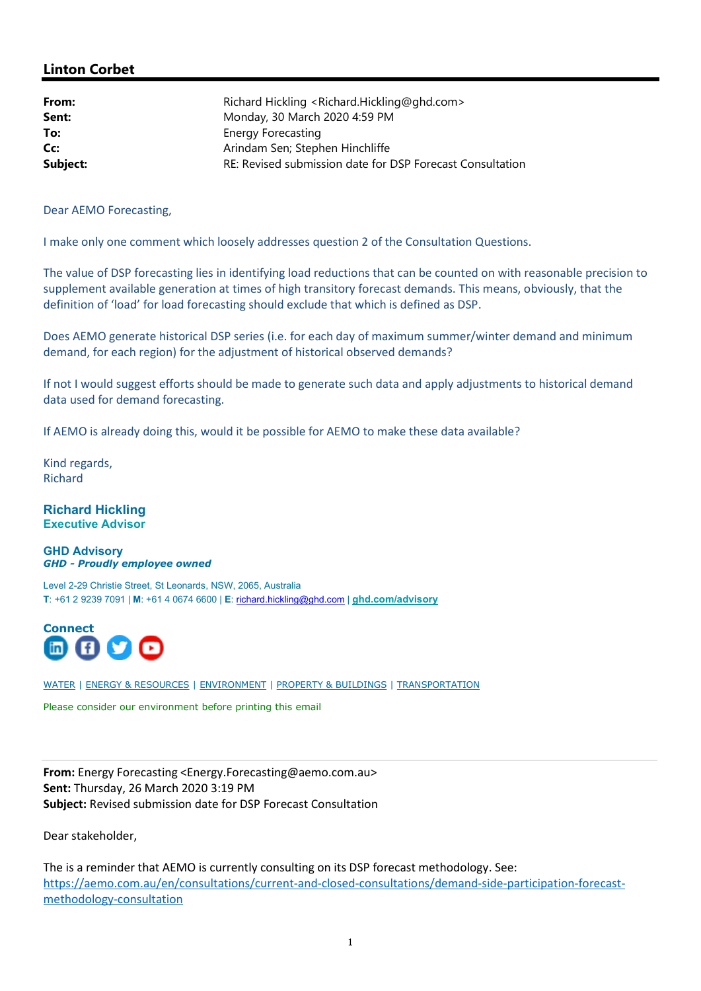## Linton Corbet

| From:    | Richard Hickling <richard.hickling@ghd.com></richard.hickling@ghd.com> |
|----------|------------------------------------------------------------------------|
|          |                                                                        |
| Sent:    | Monday, 30 March 2020 4:59 PM                                          |
| To:      | <b>Energy Forecasting</b>                                              |
| Cc:      | Arindam Sen; Stephen Hinchliffe                                        |
| Subject: | RE: Revised submission date for DSP Forecast Consultation              |

Dear AEMO Forecasting,

I make only one comment which loosely addresses question 2 of the Consultation Questions.

The value of DSP forecasting lies in identifying load reductions that can be counted on with reasonable precision to supplement available generation at times of high transitory forecast demands. This means, obviously, that the definition of 'load' for load forecasting should exclude that which is defined as DSP.

Does AEMO generate historical DSP series (i.e. for each day of maximum summer/winter demand and minimum demand, for each region) for the adjustment of historical observed demands?

If not I would suggest efforts should be made to generate such data and apply adjustments to historical demand data used for demand forecasting.

If AEMO is already doing this, would it be possible for AEMO to make these data available?

Kind regards, Richard

## Richard Hickling Executive Advisor

GHD Advisory GHD - Proudly employee owned

Level 2-29 Christie Street, St Leonards, NSW, 2065, Australia T: +61 2 9239 7091 | M: +61 4 0674 6600 | E: richard.hickling@ghd.com | ghd.com/advisory



WATER | ENERGY & RESOURCES | ENVIRONMENT | PROPERTY & BUILDINGS | TRANSPORTATION

Please consider our environment before printing this email

From: Energy Forecasting <Energy.Forecasting@aemo.com.au> Sent: Thursday, 26 March 2020 3:19 PM Subject: Revised submission date for DSP Forecast Consultation

Dear stakeholder,

The is a reminder that AEMO is currently consulting on its DSP forecast methodology. See: https://aemo.com.au/en/consultations/current-and-closed-consultations/demand-side-participation-forecastmethodology-consultation